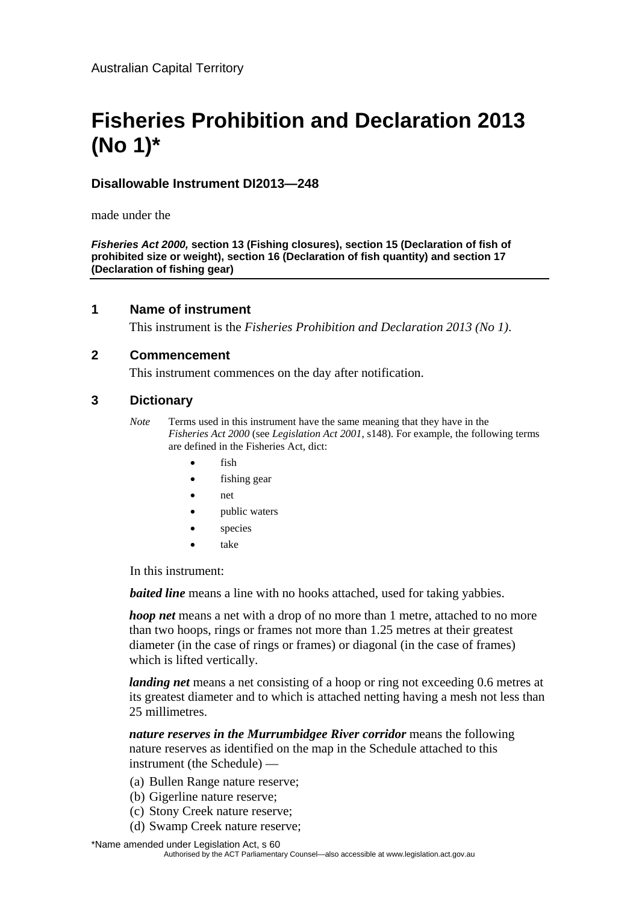# **Fisheries Prohibition and Declaration 2013 (No 1)\***

# **Disallowable Instrument DI2013—248**

made under the

*Fisheries Act 2000,* **section 13 (Fishing closures), section 15 (Declaration of fish of prohibited size or weight), section 16 (Declaration of fish quantity) and section 17 (Declaration of fishing gear)**

#### **1 Name of instrument**

This instrument is the *Fisheries Prohibition and Declaration 2013 (No 1)*.

#### **2 Commencement**

This instrument commences on the day after notification.

#### **3 Dictionary**

- *Note* Terms used in this instrument have the same meaning that they have in the *Fisheries Act 2000* (see *Legislation Act 2001*, s148). For example, the following terms are defined in the Fisheries Act, dict:
	- fish
	- fishing gear
	- net
	- public waters
	- species
	- take

In this instrument:

*baited line* means a line with no hooks attached, used for taking vabbies.

*hoop net* means a net with a drop of no more than 1 metre, attached to no more than two hoops, rings or frames not more than 1.25 metres at their greatest diameter (in the case of rings or frames) or diagonal (in the case of frames) which is lifted vertically.

*landing net* means a net consisting of a hoop or ring not exceeding 0.6 metres at its greatest diameter and to which is attached netting having a mesh not less than 25 millimetres.

*nature reserves in the Murrumbidgee River corridor* means the following nature reserves as identified on the map in the Schedule attached to this instrument (the Schedule) —

- (a) Bullen Range nature reserve;
- (b) Gigerline nature reserve;
- (c) Stony Creek nature reserve;
- (d) Swamp Creek nature reserve;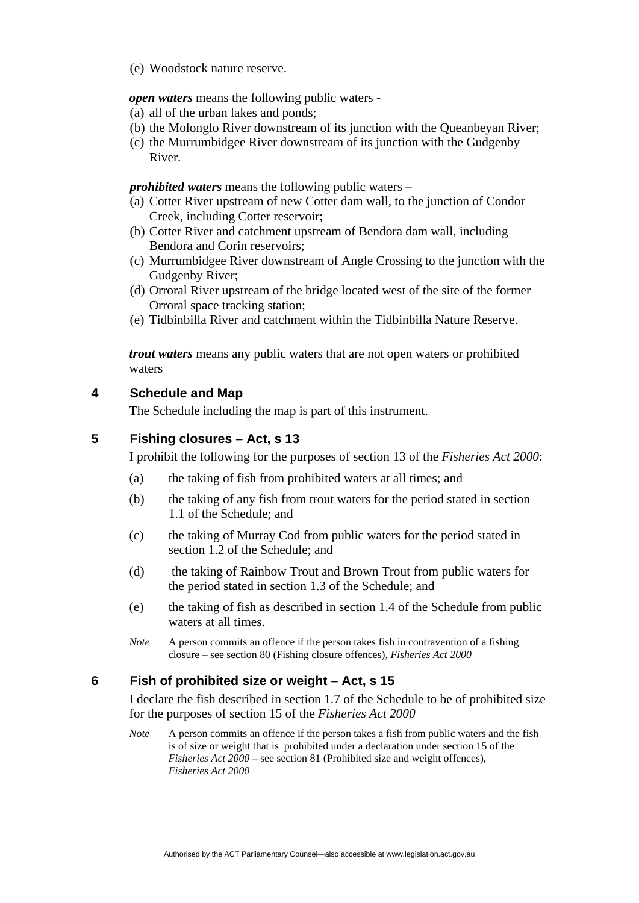(e) Woodstock nature reserve.

*open waters* means the following public waters -

- (a) all of the urban lakes and ponds;
- (b) the Molonglo River downstream of its junction with the Queanbeyan River;
- (c) the Murrumbidgee River downstream of its junction with the Gudgenby River.

*prohibited waters* means the following public waters –

- (a) Cotter River upstream of new Cotter dam wall, to the junction of Condor Creek, including Cotter reservoir;
- (b) Cotter River and catchment upstream of Bendora dam wall, including Bendora and Corin reservoirs;
- (c) Murrumbidgee River downstream of Angle Crossing to the junction with the Gudgenby River;
- (d) Orroral River upstream of the bridge located west of the site of the former Orroral space tracking station;
- (e) Tidbinbilla River and catchment within the Tidbinbilla Nature Reserve.

*trout waters* means any public waters that are not open waters or prohibited waters

#### **4 Schedule and Map**

The Schedule including the map is part of this instrument.

#### **5 Fishing closures – Act, s 13**

I prohibit the following for the purposes of section 13 of the *Fisheries Act 2000*:

- (a) the taking of fish from prohibited waters at all times; and
- (b) the taking of any fish from trout waters for the period stated in section 1.1 of the Schedule; and
- (c) the taking of Murray Cod from public waters for the period stated in section 1.2 of the Schedule; and
- (d) the taking of Rainbow Trout and Brown Trout from public waters for the period stated in section 1.3 of the Schedule; and
- (e) the taking of fish as described in section 1.4 of the Schedule from public waters at all times.
- *Note* A person commits an offence if the person takes fish in contravention of a fishing closure – see section 80 (Fishing closure offences), *Fisheries Act 2000*

#### **6 Fish of prohibited size or weight – Act, s 15**

I declare the fish described in section 1.7 of the Schedule to be of prohibited size for the purposes of section 15 of the *Fisheries Act 2000*

*Note* A person commits an offence if the person takes a fish from public waters and the fish is of size or weight that is prohibited under a declaration under section 15 of the *Fisheries Act 2000* – see section 81 (Prohibited size and weight offences), *Fisheries Act 2000*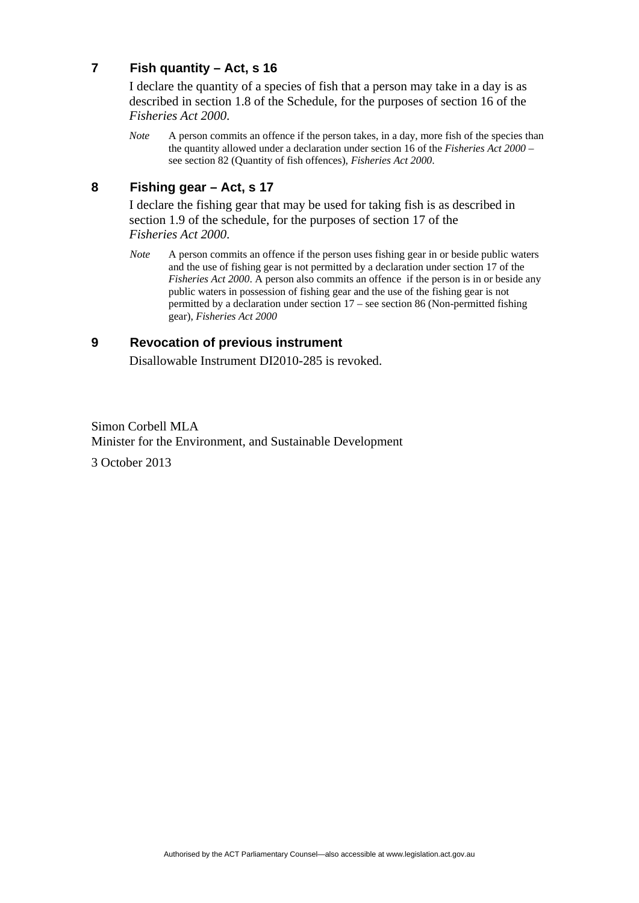# **7 Fish quantity – Act, s 16**

I declare the quantity of a species of fish that a person may take in a day is as described in section 1.8 of the Schedule, for the purposes of section 16 of the *Fisheries Act 2000*.

*Note* A person commits an offence if the person takes, in a day, more fish of the species than the quantity allowed under a declaration under section 16 of the *Fisheries Act 2000* – see section 82 (Quantity of fish offences), *Fisheries Act 2000*.

# **8 Fishing gear – Act, s 17**

I declare the fishing gear that may be used for taking fish is as described in section 1.9 of the schedule, for the purposes of section 17 of the *Fisheries Act 2000*.

*Note* A person commits an offence if the person uses fishing gear in or beside public waters and the use of fishing gear is not permitted by a declaration under section 17 of the *Fisheries Act 2000.* A person also commits an offence if the person is in or beside any public waters in possession of fishing gear and the use of the fishing gear is not permitted by a declaration under section 17 – see section 86 (Non-permitted fishing gear), *Fisheries Act 2000*

#### **9 Revocation of previous instrument**

Disallowable Instrument DI2010-285 is revoked.

Simon Corbell MLA Minister for the Environment, and Sustainable Development 3 October 2013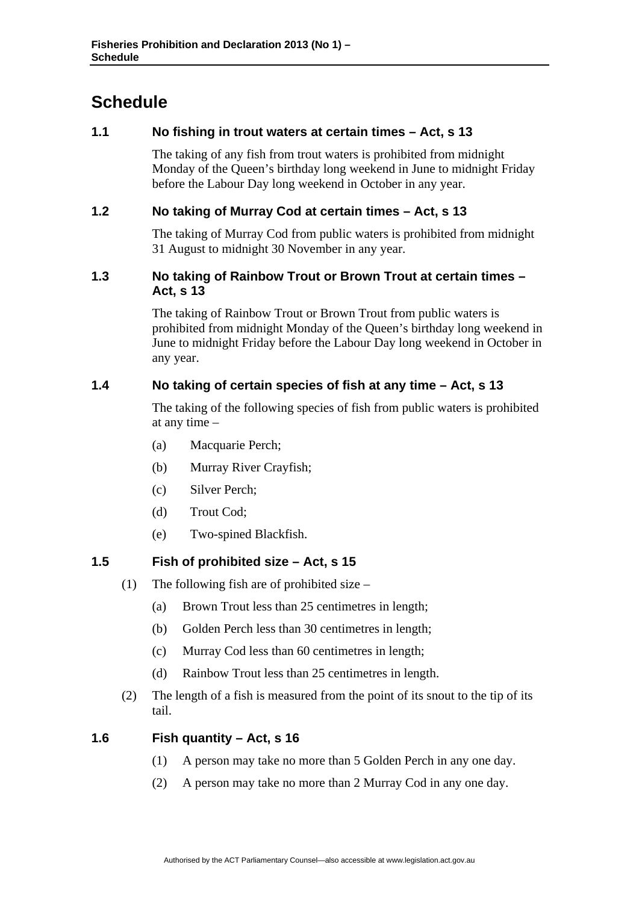# **Schedule**

# **1.1 No fishing in trout waters at certain times – Act, s 13**

The taking of any fish from trout waters is prohibited from midnight Monday of the Queen's birthday long weekend in June to midnight Friday before the Labour Day long weekend in October in any year.

# **1.2 No taking of Murray Cod at certain times – Act, s 13**

The taking of Murray Cod from public waters is prohibited from midnight 31 August to midnight 30 November in any year.

#### **1.3 No taking of Rainbow Trout or Brown Trout at certain times – Act, s 13**

The taking of Rainbow Trout or Brown Trout from public waters is prohibited from midnight Monday of the Queen's birthday long weekend in June to midnight Friday before the Labour Day long weekend in October in any year.

# **1.4 No taking of certain species of fish at any time – Act, s 13**

The taking of the following species of fish from public waters is prohibited at any time –

- (a) Macquarie Perch;
- (b) Murray River Crayfish;
- (c) Silver Perch;
- (d) Trout Cod;
- (e) Two-spined Blackfish.

#### **1.5 Fish of prohibited size – Act, s 15**

- (1) The following fish are of prohibited size
	- (a) Brown Trout less than 25 centimetres in length;
	- (b) Golden Perch less than 30 centimetres in length;
	- (c) Murray Cod less than 60 centimetres in length;
	- (d) Rainbow Trout less than 25 centimetres in length.
- (2) The length of a fish is measured from the point of its snout to the tip of its tail.

#### **1.6 Fish quantity – Act, s 16**

- (1) A person may take no more than 5 Golden Perch in any one day.
- (2) A person may take no more than 2 Murray Cod in any one day.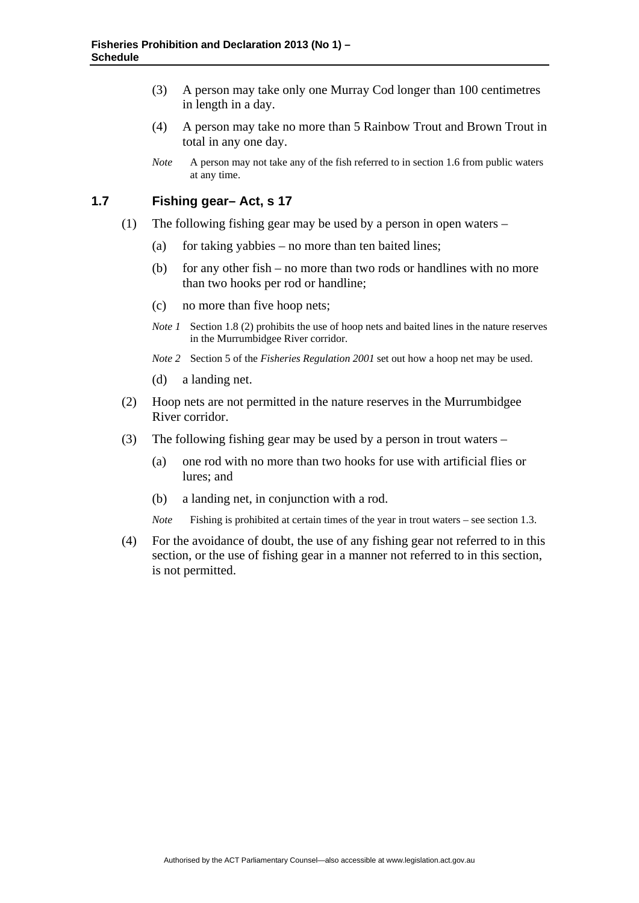- (3) A person may take only one Murray Cod longer than 100 centimetres in length in a day.
- (4) A person may take no more than 5 Rainbow Trout and Brown Trout in total in any one day.
- *Note* A person may not take any of the fish referred to in section 1.6 from public waters at any time.

#### **1.7 Fishing gear– Act, s 17**

- (1) The following fishing gear may be used by a person in open waters
	- (a) for taking yabbies no more than ten baited lines;
	- (b) for any other fish no more than two rods or handlines with no more than two hooks per rod or handline;
	- (c) no more than five hoop nets;
	- *Note 1* Section 1.8 (2) prohibits the use of hoop nets and baited lines in the nature reserves in the Murrumbidgee River corridor.
	- *Note 2* Section 5 of the *Fisheries Regulation 2001* set out how a hoop net may be used.
	- (d) a landing net.
- (2) Hoop nets are not permitted in the nature reserves in the Murrumbidgee River corridor.
- (3) The following fishing gear may be used by a person in trout waters
	- (a) one rod with no more than two hooks for use with artificial flies or lures; and
	- (b) a landing net, in conjunction with a rod.
	- *Note* Fishing is prohibited at certain times of the year in trout waters see section 1.3.
- (4) For the avoidance of doubt, the use of any fishing gear not referred to in this section, or the use of fishing gear in a manner not referred to in this section, is not permitted.